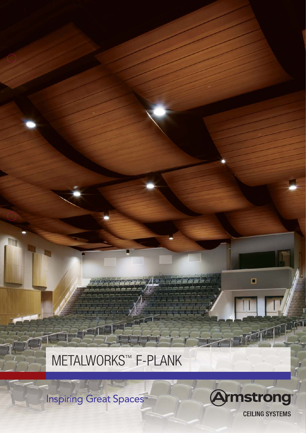**Amstrong CEILING SYSTEMS** 

O

**Inspiring Great Spaces**<sup>™</sup>

# METALWORKS™ F-PLANK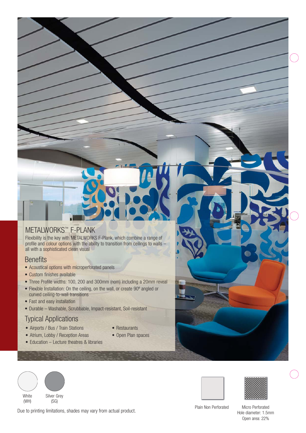### METALWORKS™ F-PLANK

Flexibility is the key with METALWORKS F-Plank, which combine a range of profile and colour options with the ability to transition from ceilings to walls all with a sophisticated clean visual

### **Benefits**

- Acoustical options with microperforated panels
- Custom finishes available
- Three Profile widths: 100, 200 and 300mm (nom) including a 20mm reveal
- Flexible Installation: On the ceiling, on the wall, or create 90º angled or curved ceiling-to-wall transitions
- Fast and easy installation
- Durable Washable, Scrubbable, Impact-resistant, Soil-resistant

### Typical Applications

- Airports / Bus / Train Stations • Atrium, Lobby / Reception Areas
- Restaurants
- Open Plan spaces
- Education Lecture theatres & libraries
- **White** (WH) Silver Grey

(SG)

Due to printing limitations, shades may vary from actual product.

Plain Non Perforated Micro Perforated

Hole diameter: 1.5mm Open area: 22%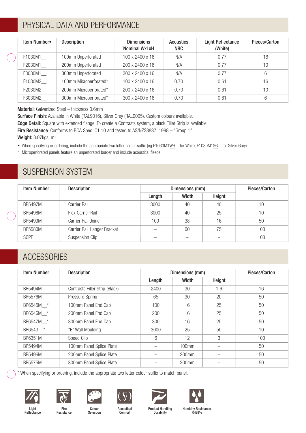### PHYSICAL DATA AND PERFORMANCE

| Item Number• | <b>Description</b>     | <b>Dimensions</b><br><b>Nominal WxLxH</b> | <b>Acoustics</b><br><b>NRC</b> | <b>Light Reflectance</b><br>(White) | Pieces/Carton |
|--------------|------------------------|-------------------------------------------|--------------------------------|-------------------------------------|---------------|
| F1030M1      | 100mm Unperforated     | 100 x 2400 x 16                           | N/A                            | 0.77                                | 16            |
| F2030M1      | 200mm Unperforated     | 200 x 2400 x 16                           | N/A                            | 0.77                                | 10            |
| F3030M1      | 300mm Unperforated     | 300 x 2400 x 16                           | N/A                            | 0.77                                | 6             |
| F1030M2      | 100mm Microperforated* | 100 x 2400 x 16                           | 0.70                           | 0.61                                | 16            |
| F2030M2      | 200mm Microperforated* | 200 x 2400 x 16                           | 0.70                           | 0.61                                | 10            |
| F3030M2      | 300mm Microperforated* | 300 x 2400 x 16                           | 0.70                           | 0.61                                | 6             |

Material: Galvanized Steel – thickness 0.6mm

Surface Finish: Available in White (RAL9016), Silver Grey (RAL9005). Custom colours available.

Edge Detail: Square with extended flange. To create a Contrasts system, a black Filler Strip is available.

Fire Resistance: Conforms to BCA Spec. C1.10 and tested to AS/NZS3837: 1998 – "Group 1"

Weight: 8.07kgs. m<sup>2</sup>

• When specifying or ordering, include the appropriate two letter colour suffix (eg F1030M1WH – for White, F1030M1SG – for Silver Grey)

\* Microperforated panels feature an unperforated border and include acoustical fleece

### SUSPENSION SYSTEM

| <b>Item Number</b> | <b>Description</b>          |        | Dimensions (mm) | Pieces/Carton |     |
|--------------------|-----------------------------|--------|-----------------|---------------|-----|
|                    |                             | Length | Width           | Height        |     |
| BP5497M            | Carrier Rail                | 3000   | 40              | 40            | 10  |
| BP5498M            | Flex Carrier Rail           | 3000   | 40              | 25            | 10  |
| BP5499M            | Carrier Rail Joiner         | 100    | 38              | 16            | 50  |
| BP5580M            | Carrier Rail Hanger Bracket |        | 60              | 75            | 100 |
| <b>SCPF</b>        | Suspension Clip             |        |                 |               | 100 |

### **ACCESSORIES**

| <b>Item Number</b> | <b>Description</b>             | Dimensions (mm) |                   |        | Pieces/Carton |
|--------------------|--------------------------------|-----------------|-------------------|--------|---------------|
|                    |                                | Length          | Width             | Height |               |
| BP5494M            | Contrasts Filler Strip (Black) | 2400            | 30                | 1.6    | 16            |
| <b>BP5576M</b>     | <b>Pressure Spring</b>         | 65              | 30                | 20     | 50            |
| BP6545M *          | 100mm Panel End Cap            | 100             | 16                | 25     | 50            |
| BP6546M *          | 200mm Panel End Cap            | 200             | 16                | 25     | 50            |
| BP6547M *          | 300mm Panel End Cap            | 300             | 16                | 25     | 50            |
| BP6543 *           | "E" Wall Moulding              | 3000            | 25                | 50     | 10            |
| BP6351M            | Speed Clip                     | 6               | 12                | 3      | 100           |
| BP5494M            | 100mm Panel Splice Plate       |                 | $100$ mm          |        | 50            |
| BP5496M            | 200mm Panel Splice Plate       |                 | 200 <sub>mm</sub> |        | 50            |
| BP5575M            | 300mm Panel Splice Plate       |                 | 300 <sub>mm</sub> |        | 50            |

\* When specifying or ordering, include the appropriate two letter colour suffix to match panel.





Fire Resistance













Colour Selection

Acoustical Comfort

Product Handling Durability

Humidity Resistance RH99%